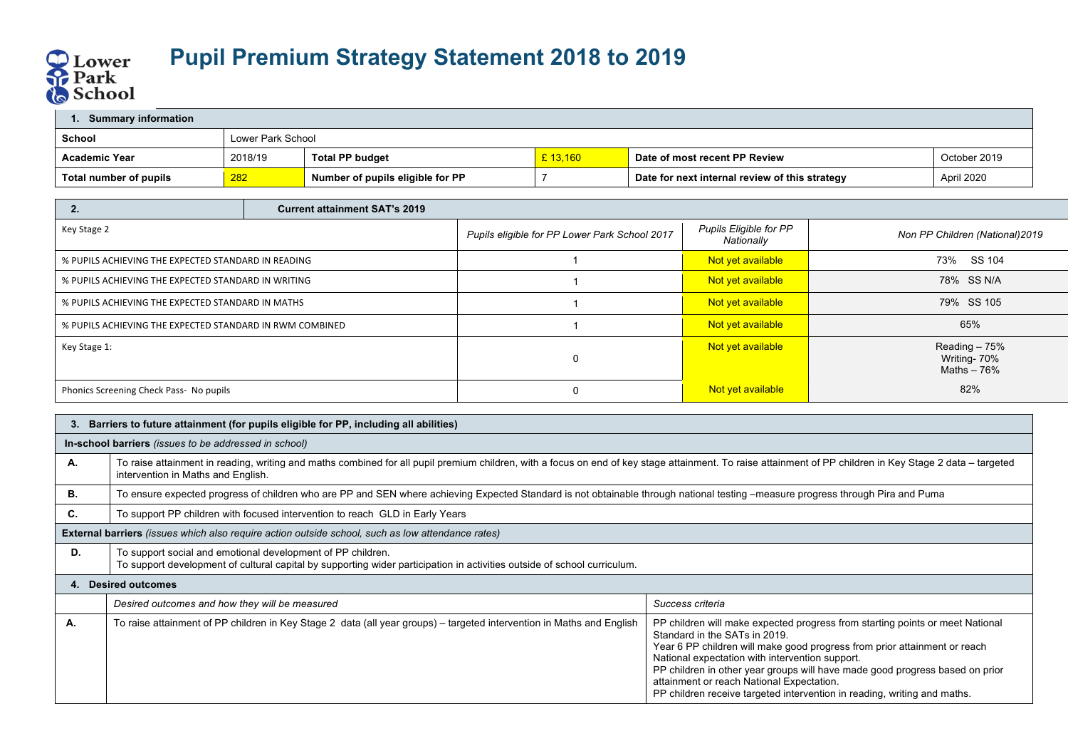

| <b>Summary information</b> |         |                                  |          |                                                |              |  |  |
|----------------------------|---------|----------------------------------|----------|------------------------------------------------|--------------|--|--|
| School                     |         | Lower Park School                |          |                                                |              |  |  |
| <b>Academic Year</b>       | 2018/19 | <b>Total PP budget</b>           | £ 13.160 | Date of most recent PP Review                  | October 2019 |  |  |
| Total number of pupils     | 282     | Number of pupils eligible for PP |          | Date for next internal review of this strategy | April 2020   |  |  |

| L.                                                       | <b>Current attainment SAT's 2019</b> |                                               |                                      |                                               |
|----------------------------------------------------------|--------------------------------------|-----------------------------------------------|--------------------------------------|-----------------------------------------------|
| Key Stage 2                                              |                                      | Pupils eligible for PP Lower Park School 2017 | Pupils Eligible for PP<br>Nationally | Non PP Children (National) 2019               |
| % PUPILS ACHIEVING THE EXPECTED STANDARD IN READING      |                                      |                                               | Not yet available                    | SS 104<br>73%                                 |
| % PUPILS ACHIEVING THE EXPECTED STANDARD IN WRITING      |                                      |                                               | Not yet available                    | 78% SS N/A                                    |
| % PUPILS ACHIEVING THE EXPECTED STANDARD IN MATHS        |                                      |                                               | Not yet available                    | 79% SS 105                                    |
| % PUPILS ACHIEVING THE EXPECTED STANDARD IN RWM COMBINED |                                      |                                               | Not yet available                    | 65%                                           |
| Key Stage 1:                                             |                                      |                                               | Not yet available                    | Reading - 75%<br>Writing- 70%<br>Maths $-76%$ |
| Phonics Screening Check Pass- No pupils                  |                                      |                                               | Not yet available                    | 82%                                           |

| 3. | Barriers to future attainment (for pupils eligible for PP, including all abilities)                                                                                                                                                             |                                                                                                                                                                                                                                                                                                                                                                                                                                                         |  |  |  |  |
|----|-------------------------------------------------------------------------------------------------------------------------------------------------------------------------------------------------------------------------------------------------|---------------------------------------------------------------------------------------------------------------------------------------------------------------------------------------------------------------------------------------------------------------------------------------------------------------------------------------------------------------------------------------------------------------------------------------------------------|--|--|--|--|
|    | In-school barriers (issues to be addressed in school)                                                                                                                                                                                           |                                                                                                                                                                                                                                                                                                                                                                                                                                                         |  |  |  |  |
| А. | To raise attainment in reading, writing and maths combined for all pupil premium children, with a focus on end of key stage attainment. To raise attainment of PP children in Key Stage 2 data – targeted<br>intervention in Maths and English. |                                                                                                                                                                                                                                                                                                                                                                                                                                                         |  |  |  |  |
| В. | To ensure expected progress of children who are PP and SEN where achieving Expected Standard is not obtainable through national testing –measure progress through Pira and Puma                                                                 |                                                                                                                                                                                                                                                                                                                                                                                                                                                         |  |  |  |  |
| С. | To support PP children with focused intervention to reach GLD in Early Years                                                                                                                                                                    |                                                                                                                                                                                                                                                                                                                                                                                                                                                         |  |  |  |  |
|    | <b>External barriers</b> (issues which also require action outside school, such as low attendance rates)                                                                                                                                        |                                                                                                                                                                                                                                                                                                                                                                                                                                                         |  |  |  |  |
| D. | To support social and emotional development of PP children.<br>To support development of cultural capital by supporting wider participation in activities outside of school curriculum.                                                         |                                                                                                                                                                                                                                                                                                                                                                                                                                                         |  |  |  |  |
| 4. | <b>Desired outcomes</b>                                                                                                                                                                                                                         |                                                                                                                                                                                                                                                                                                                                                                                                                                                         |  |  |  |  |
|    | Desired outcomes and how they will be measured                                                                                                                                                                                                  | Success criteria                                                                                                                                                                                                                                                                                                                                                                                                                                        |  |  |  |  |
| А. | To raise attainment of PP children in Key Stage 2 data (all year groups) - targeted intervention in Maths and English                                                                                                                           | PP children will make expected progress from starting points or meet National<br>Standard in the SATs in 2019.<br>Year 6 PP children will make good progress from prior attainment or reach<br>National expectation with intervention support.<br>PP children in other year groups will have made good progress based on prior<br>attainment or reach National Expectation.<br>PP children receive targeted intervention in reading, writing and maths. |  |  |  |  |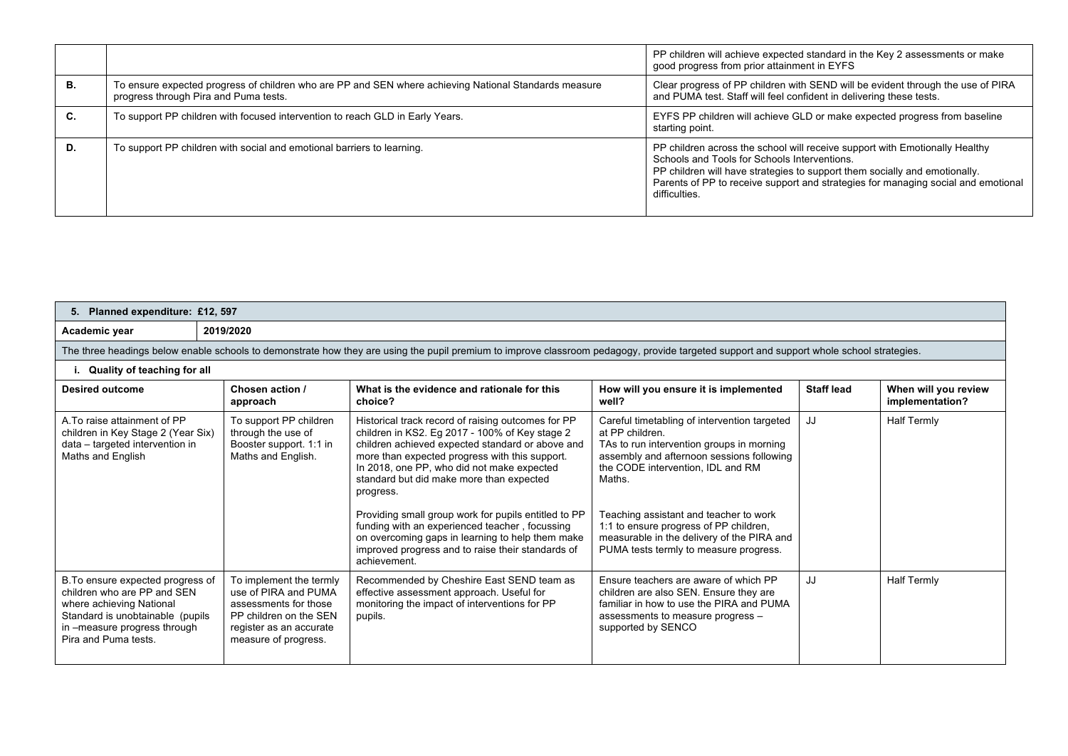|    |                                                                                                                                                | PP children will achieve expected standard in the Key 2 assessments or make<br>good progress from prior attainment in EYFS                                                                                                                                                                                      |
|----|------------------------------------------------------------------------------------------------------------------------------------------------|-----------------------------------------------------------------------------------------------------------------------------------------------------------------------------------------------------------------------------------------------------------------------------------------------------------------|
| В. | To ensure expected progress of children who are PP and SEN where achieving National Standards measure<br>progress through Pira and Puma tests. | Clear progress of PP children with SEND will be evident through the use of PIRA<br>and PUMA test. Staff will feel confident in delivering these tests.                                                                                                                                                          |
| C. | To support PP children with focused intervention to reach GLD in Early Years.                                                                  | EYFS PP children will achieve GLD or make expected progress from baseline<br>starting point.                                                                                                                                                                                                                    |
| D. | To support PP children with social and emotional barriers to learning.                                                                         | PP children across the school will receive support with Emotionally Healthy<br>Schools and Tools for Schools Interventions.<br>PP children will have strategies to support them socially and emotionally.<br>Parents of PP to receive support and strategies for managing social and emotional<br>difficulties. |

| 5. Planned expenditure: £12, 597                                                                                                                                                          |                                                                                                                                                       |                                                                                                                                                                                                                                                                                                                                                                                                                                                                                                                                                      |                                                                                                                                                                                                                                                                                                                                                                                      |                   |                                         |
|-------------------------------------------------------------------------------------------------------------------------------------------------------------------------------------------|-------------------------------------------------------------------------------------------------------------------------------------------------------|------------------------------------------------------------------------------------------------------------------------------------------------------------------------------------------------------------------------------------------------------------------------------------------------------------------------------------------------------------------------------------------------------------------------------------------------------------------------------------------------------------------------------------------------------|--------------------------------------------------------------------------------------------------------------------------------------------------------------------------------------------------------------------------------------------------------------------------------------------------------------------------------------------------------------------------------------|-------------------|-----------------------------------------|
| Academic year                                                                                                                                                                             | 2019/2020                                                                                                                                             |                                                                                                                                                                                                                                                                                                                                                                                                                                                                                                                                                      |                                                                                                                                                                                                                                                                                                                                                                                      |                   |                                         |
|                                                                                                                                                                                           |                                                                                                                                                       | The three headings below enable schools to demonstrate how they are using the pupil premium to improve classroom pedagogy, provide targeted support and support whole school strategies.                                                                                                                                                                                                                                                                                                                                                             |                                                                                                                                                                                                                                                                                                                                                                                      |                   |                                         |
| Quality of teaching for all                                                                                                                                                               |                                                                                                                                                       |                                                                                                                                                                                                                                                                                                                                                                                                                                                                                                                                                      |                                                                                                                                                                                                                                                                                                                                                                                      |                   |                                         |
| <b>Desired outcome</b>                                                                                                                                                                    | Chosen action /<br>approach                                                                                                                           | What is the evidence and rationale for this<br>choice?                                                                                                                                                                                                                                                                                                                                                                                                                                                                                               | How will you ensure it is implemented<br>well?                                                                                                                                                                                                                                                                                                                                       | <b>Staff lead</b> | When will you review<br>implementation? |
| A. To raise attainment of PP<br>children in Key Stage 2 (Year Six)<br>data - targeted intervention in<br>Maths and English                                                                | To support PP children<br>through the use of<br>Booster support. 1:1 in<br>Maths and English.                                                         | Historical track record of raising outcomes for PP<br>children in KS2. Eg 2017 - 100% of Key stage 2<br>children achieved expected standard or above and<br>more than expected progress with this support.<br>In 2018, one PP, who did not make expected<br>standard but did make more than expected<br>progress.<br>Providing small group work for pupils entitled to PP<br>funding with an experienced teacher, focussing<br>on overcoming gaps in learning to help them make<br>improved progress and to raise their standards of<br>achievement. | Careful timetabling of intervention targeted<br>at PP children.<br>TAs to run intervention groups in morning<br>assembly and afternoon sessions following<br>the CODE intervention, IDL and RM<br>Maths.<br>Teaching assistant and teacher to work<br>1:1 to ensure progress of PP children,<br>measurable in the delivery of the PIRA and<br>PUMA tests termly to measure progress. | JJ                | <b>Half Termly</b>                      |
| B. To ensure expected progress of<br>children who are PP and SEN<br>where achieving National<br>Standard is unobtainable (pupils)<br>in -measure progress through<br>Pira and Puma tests. | To implement the termly<br>use of PIRA and PUMA<br>assessments for those<br>PP children on the SEN<br>register as an accurate<br>measure of progress. | Recommended by Cheshire East SEND team as<br>effective assessment approach. Useful for<br>monitoring the impact of interventions for PP<br>pupils.                                                                                                                                                                                                                                                                                                                                                                                                   | Ensure teachers are aware of which PP<br>children are also SEN. Ensure they are<br>familiar in how to use the PIRA and PUMA<br>assessments to measure progress -<br>supported by SENCO                                                                                                                                                                                               | JJ                | <b>Half Termly</b>                      |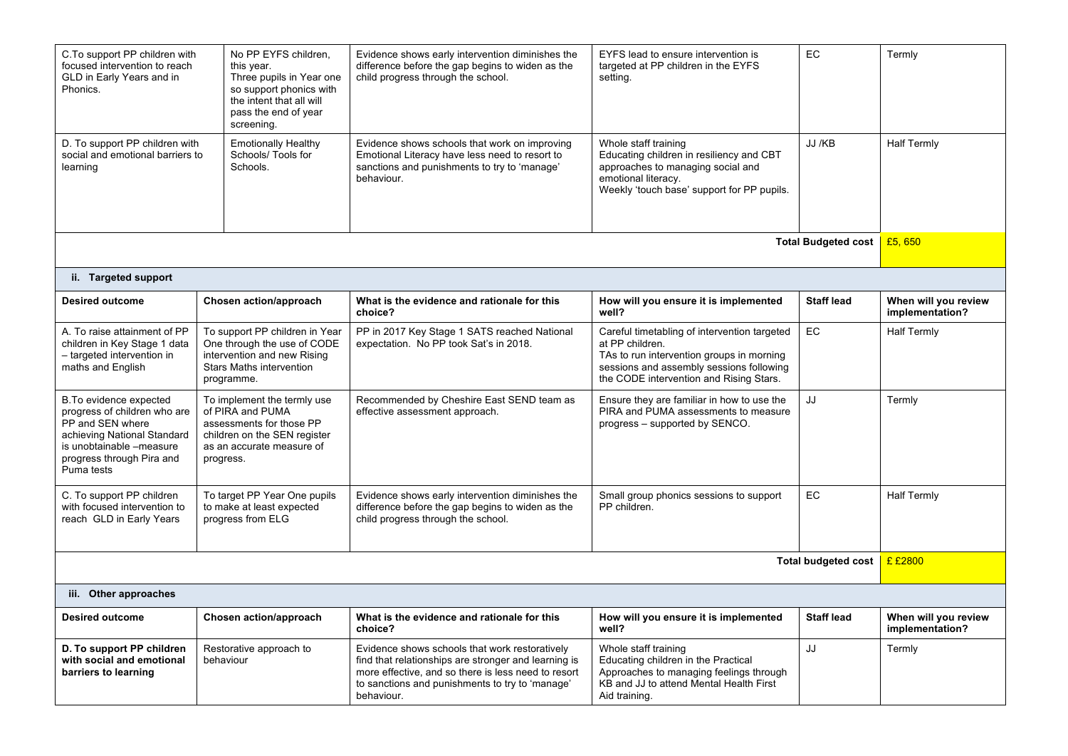| C. To support PP children with<br>No PP EYFS children,<br>focused intervention to reach<br>this year.<br>GLD in Early Years and in<br>Three pupils in Year one<br>Phonics.<br>so support phonics with<br>the intent that all will<br>pass the end of year |                                                                                                                                                       | screening.                                                                     | Evidence shows early intervention diminishes the<br>difference before the gap begins to widen as the<br>child progress through the school.                                                                                     | EYFS lead to ensure intervention is<br>targeted at PP children in the EYFS<br>setting.                                                                                                              | EC                         | Termly                                  |
|-----------------------------------------------------------------------------------------------------------------------------------------------------------------------------------------------------------------------------------------------------------|-------------------------------------------------------------------------------------------------------------------------------------------------------|--------------------------------------------------------------------------------|--------------------------------------------------------------------------------------------------------------------------------------------------------------------------------------------------------------------------------|-----------------------------------------------------------------------------------------------------------------------------------------------------------------------------------------------------|----------------------------|-----------------------------------------|
| D. To support PP children with<br>social and emotional barriers to<br>Schools.<br>learning                                                                                                                                                                |                                                                                                                                                       | <b>Emotionally Healthy</b><br>Schools/ Tools for                               | Evidence shows schools that work on improving<br>Emotional Literacy have less need to resort to<br>sanctions and punishments to try to 'manage'<br>behaviour.                                                                  | Whole staff training<br>Educating children in resiliency and CBT<br>approaches to managing social and<br>emotional literacy.<br>Weekly 'touch base' support for PP pupils.                          | JJ /KB                     | <b>Half Termly</b>                      |
|                                                                                                                                                                                                                                                           |                                                                                                                                                       |                                                                                |                                                                                                                                                                                                                                |                                                                                                                                                                                                     | <b>Total Budgeted cost</b> | £5,650                                  |
| ii. Targeted support                                                                                                                                                                                                                                      |                                                                                                                                                       |                                                                                |                                                                                                                                                                                                                                |                                                                                                                                                                                                     |                            |                                         |
| <b>Desired outcome</b>                                                                                                                                                                                                                                    |                                                                                                                                                       | Chosen action/approach                                                         | What is the evidence and rationale for this<br>choice?                                                                                                                                                                         | How will you ensure it is implemented<br>well?                                                                                                                                                      | <b>Staff lead</b>          | When will you review<br>implementation? |
| A. To raise attainment of PP<br>children in Key Stage 1 data<br>- targeted intervention in<br>maths and English                                                                                                                                           | To support PP children in Year<br>One through the use of CODE<br>intervention and new Rising<br><b>Stars Maths intervention</b><br>programme.         |                                                                                | PP in 2017 Key Stage 1 SATS reached National<br>expectation. No PP took Sat's in 2018.                                                                                                                                         | Careful timetabling of intervention targeted<br>at PP children.<br>TAs to run intervention groups in morning<br>sessions and assembly sessions following<br>the CODE intervention and Rising Stars. | <b>EC</b>                  | <b>Half Termly</b>                      |
| B.To evidence expected<br>progress of children who are<br>PP and SEN where<br>achieving National Standard<br>is unobtainable -measure<br>progress through Pira and<br>Puma tests                                                                          | To implement the termly use<br>of PIRA and PUMA<br>assessments for those PP<br>children on the SEN register<br>as an accurate measure of<br>progress. |                                                                                | Recommended by Cheshire East SEND team as<br>effective assessment approach.                                                                                                                                                    | Ensure they are familiar in how to use the<br>PIRA and PUMA assessments to measure<br>progress - supported by SENCO.                                                                                | JJ                         | Termly                                  |
| C. To support PP children<br>with focused intervention to<br>reach GLD in Early Years                                                                                                                                                                     |                                                                                                                                                       | To target PP Year One pupils<br>to make at least expected<br>progress from ELG | Evidence shows early intervention diminishes the<br>difference before the gap begins to widen as the<br>child progress through the school.                                                                                     | Small group phonics sessions to support<br>PP children.                                                                                                                                             | EC                         | <b>Half Termly</b>                      |
| Total budgeted cost                                                                                                                                                                                                                                       |                                                                                                                                                       |                                                                                |                                                                                                                                                                                                                                |                                                                                                                                                                                                     | £ £2800                    |                                         |
| iii. Other approaches                                                                                                                                                                                                                                     |                                                                                                                                                       |                                                                                |                                                                                                                                                                                                                                |                                                                                                                                                                                                     |                            |                                         |
| <b>Desired outcome</b>                                                                                                                                                                                                                                    |                                                                                                                                                       | Chosen action/approach                                                         | What is the evidence and rationale for this<br>choice?                                                                                                                                                                         | How will you ensure it is implemented<br>well?                                                                                                                                                      | <b>Staff lead</b>          | When will you review<br>implementation? |
| D. To support PP children<br>with social and emotional<br>barriers to learning                                                                                                                                                                            | behaviour                                                                                                                                             | Restorative approach to                                                        | Evidence shows schools that work restoratively<br>find that relationships are stronger and learning is<br>more effective, and so there is less need to resort<br>to sanctions and punishments to try to 'manage'<br>behaviour. | Whole staff training<br>Educating children in the Practical<br>Approaches to managing feelings through<br>KB and JJ to attend Mental Health First<br>Aid training.                                  | JJ                         | Termly                                  |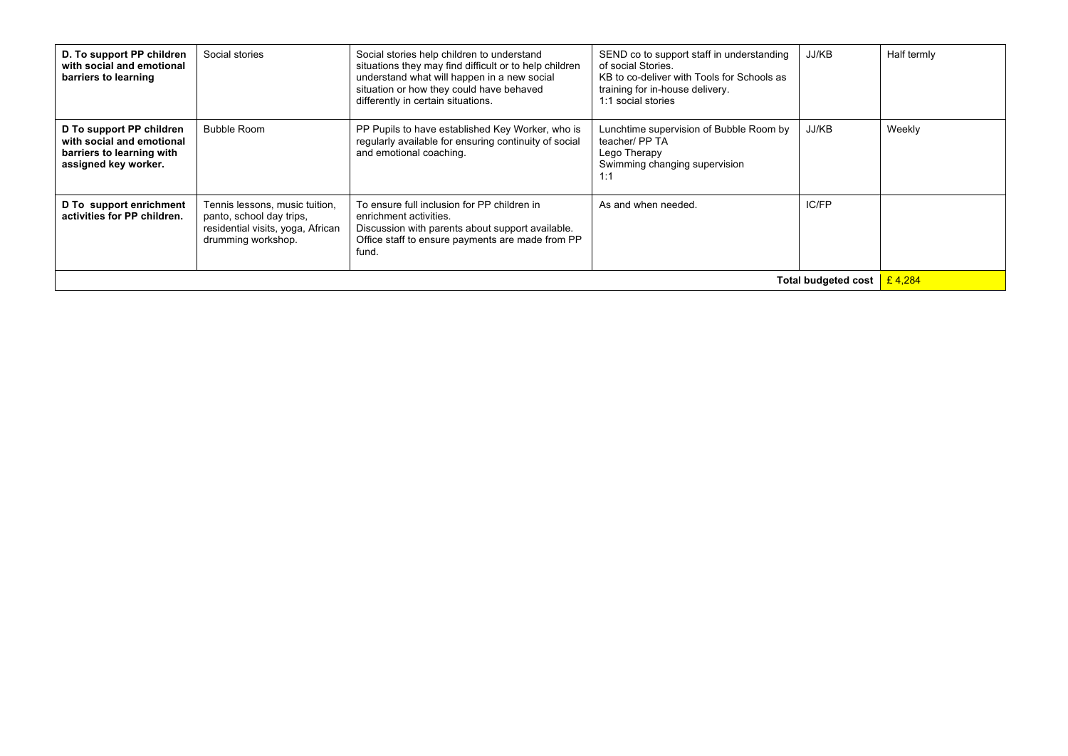| D. To support PP children<br>with social and emotional<br>barriers to learning                             | Social stories                                                                                                        | Social stories help children to understand<br>situations they may find difficult or to help children<br>understand what will happen in a new social<br>situation or how they could have behaved<br>differently in certain situations. | SEND co to support staff in understanding<br>of social Stories.<br>KB to co-deliver with Tools for Schools as<br>training for in-house delivery.<br>1:1 social stories | JJ/KB                      | Half termly |
|------------------------------------------------------------------------------------------------------------|-----------------------------------------------------------------------------------------------------------------------|---------------------------------------------------------------------------------------------------------------------------------------------------------------------------------------------------------------------------------------|------------------------------------------------------------------------------------------------------------------------------------------------------------------------|----------------------------|-------------|
| D To support PP children<br>with social and emotional<br>barriers to learning with<br>assigned key worker. | <b>Bubble Room</b>                                                                                                    | PP Pupils to have established Key Worker, who is<br>regularly available for ensuring continuity of social<br>and emotional coaching.                                                                                                  | Lunchtime supervision of Bubble Room by<br>teacher/ PP TA<br>Lego Therapy<br>Swimming changing supervision<br>1:1                                                      | JJ/KB                      | Weekly      |
| D To support enrichment<br>activities for PP children.                                                     | Tennis lessons, music tuition,<br>panto, school day trips,<br>residential visits, yoga, African<br>drumming workshop. | To ensure full inclusion for PP children in<br>enrichment activities.<br>Discussion with parents about support available.<br>Office staff to ensure payments are made from PP<br>fund.                                                | As and when needed.                                                                                                                                                    | IC/FP                      |             |
|                                                                                                            |                                                                                                                       |                                                                                                                                                                                                                                       |                                                                                                                                                                        | <b>Total budgeted cost</b> | £4.284      |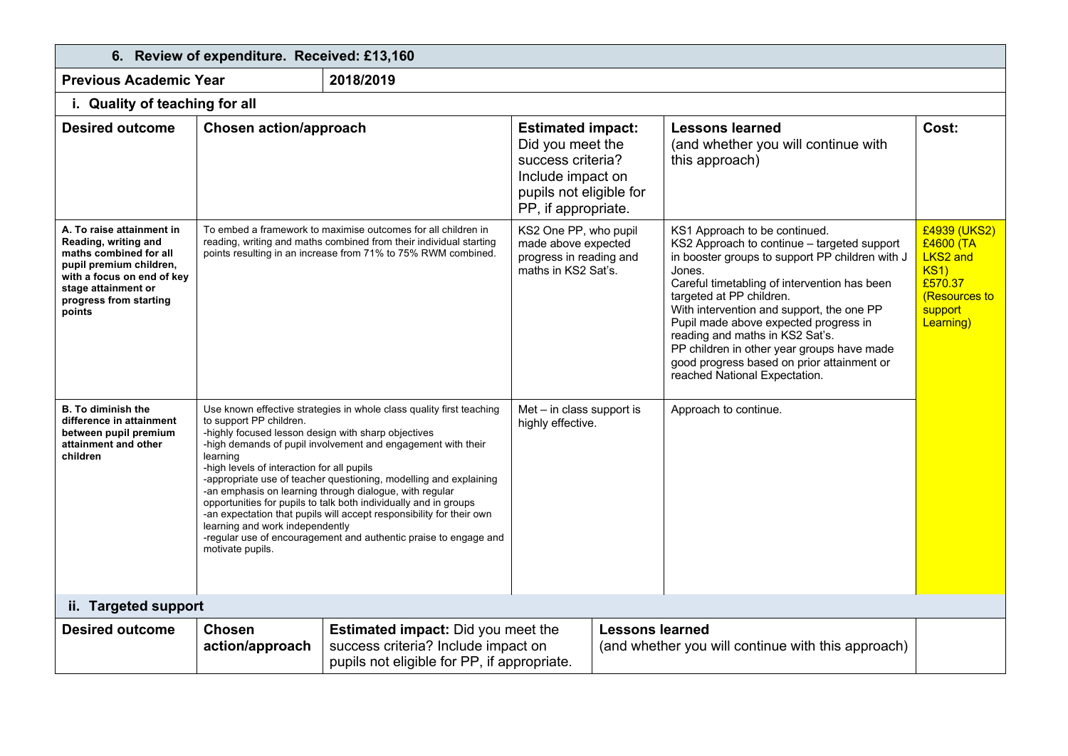| 6. Review of expenditure. Received: £13,160                                                                                                                                                     |                                                                                                                                                                                                 |                                                                                                                                                                                                                                                                                                                                                                                                                                                                                      |                                                                                                                                          |                        |                                                                                                                                                                                                                                                                                                                                                                                                                                                                             |                                                                                                                 |
|-------------------------------------------------------------------------------------------------------------------------------------------------------------------------------------------------|-------------------------------------------------------------------------------------------------------------------------------------------------------------------------------------------------|--------------------------------------------------------------------------------------------------------------------------------------------------------------------------------------------------------------------------------------------------------------------------------------------------------------------------------------------------------------------------------------------------------------------------------------------------------------------------------------|------------------------------------------------------------------------------------------------------------------------------------------|------------------------|-----------------------------------------------------------------------------------------------------------------------------------------------------------------------------------------------------------------------------------------------------------------------------------------------------------------------------------------------------------------------------------------------------------------------------------------------------------------------------|-----------------------------------------------------------------------------------------------------------------|
| <b>Previous Academic Year</b>                                                                                                                                                                   |                                                                                                                                                                                                 | 2018/2019                                                                                                                                                                                                                                                                                                                                                                                                                                                                            |                                                                                                                                          |                        |                                                                                                                                                                                                                                                                                                                                                                                                                                                                             |                                                                                                                 |
| i. Quality of teaching for all                                                                                                                                                                  |                                                                                                                                                                                                 |                                                                                                                                                                                                                                                                                                                                                                                                                                                                                      |                                                                                                                                          |                        |                                                                                                                                                                                                                                                                                                                                                                                                                                                                             |                                                                                                                 |
| <b>Desired outcome</b>                                                                                                                                                                          | <b>Chosen action/approach</b>                                                                                                                                                                   |                                                                                                                                                                                                                                                                                                                                                                                                                                                                                      | <b>Estimated impact:</b><br>Did you meet the<br>success criteria?<br>Include impact on<br>pupils not eligible for<br>PP, if appropriate. |                        | <b>Lessons learned</b><br>(and whether you will continue with<br>this approach)                                                                                                                                                                                                                                                                                                                                                                                             | Cost:                                                                                                           |
| A. To raise attainment in<br>Reading, writing and<br>maths combined for all<br>pupil premium children,<br>with a focus on end of key<br>stage attainment or<br>progress from starting<br>points |                                                                                                                                                                                                 | To embed a framework to maximise outcomes for all children in<br>reading, writing and maths combined from their individual starting<br>points resulting in an increase from 71% to 75% RWM combined.                                                                                                                                                                                                                                                                                 | KS2 One PP, who pupil<br>made above expected<br>progress in reading and<br>maths in KS2 Sat's.                                           |                        | KS1 Approach to be continued.<br>KS2 Approach to continue - targeted support<br>in booster groups to support PP children with J<br>Jones.<br>Careful timetabling of intervention has been<br>targeted at PP children.<br>With intervention and support, the one PP<br>Pupil made above expected progress in<br>reading and maths in KS2 Sat's.<br>PP children in other year groups have made<br>good progress based on prior attainment or<br>reached National Expectation. | £4939 (UKS2)<br>£4600 (TA<br><b>LKS2 and</b><br><b>KS1)</b><br>£570.37<br>(Resources to<br>support<br>Learning) |
| <b>B.</b> To diminish the<br>difference in attainment<br>between pupil premium<br>attainment and other<br>children                                                                              | to support PP children.<br>-highly focused lesson design with sharp objectives<br>learning<br>-high levels of interaction for all pupils<br>learning and work independently<br>motivate pupils. | Use known effective strategies in whole class quality first teaching<br>-high demands of pupil involvement and engagement with their<br>-appropriate use of teacher questioning, modelling and explaining<br>-an emphasis on learning through dialogue, with regular<br>opportunities for pupils to talk both individually and in groups<br>-an expectation that pupils will accept responsibility for their own<br>-regular use of encouragement and authentic praise to engage and | $Met - in class support is$<br>highly effective.                                                                                         |                        | Approach to continue.                                                                                                                                                                                                                                                                                                                                                                                                                                                       |                                                                                                                 |
| ii. Targeted support                                                                                                                                                                            |                                                                                                                                                                                                 |                                                                                                                                                                                                                                                                                                                                                                                                                                                                                      |                                                                                                                                          |                        |                                                                                                                                                                                                                                                                                                                                                                                                                                                                             |                                                                                                                 |
| <b>Desired outcome</b>                                                                                                                                                                          | <b>Chosen</b><br>action/approach                                                                                                                                                                | Estimated impact: Did you meet the<br>success criteria? Include impact on<br>pupils not eligible for PP, if appropriate.                                                                                                                                                                                                                                                                                                                                                             |                                                                                                                                          | <b>Lessons learned</b> | (and whether you will continue with this approach)                                                                                                                                                                                                                                                                                                                                                                                                                          |                                                                                                                 |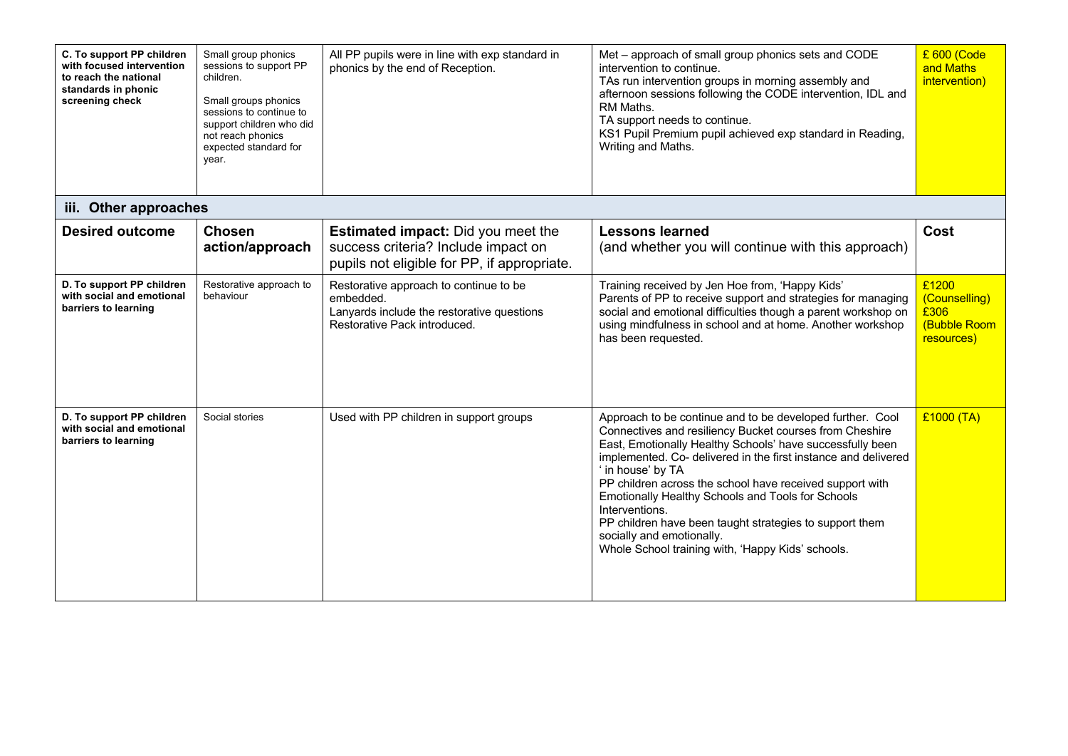| C. To support PP children<br>with focused intervention<br>to reach the national<br>standards in phonic<br>screening check | Small group phonics<br>sessions to support PP<br>children.<br>Small groups phonics<br>sessions to continue to<br>support children who did<br>not reach phonics<br>expected standard for<br>year. | All PP pupils were in line with exp standard in<br>phonics by the end of Reception.                                               | Met - approach of small group phonics sets and CODE<br>intervention to continue.<br>TAs run intervention groups in morning assembly and<br>afternoon sessions following the CODE intervention, IDL and<br>RM Maths.<br>TA support needs to continue.<br>KS1 Pupil Premium pupil achieved exp standard in Reading,<br>Writing and Maths.                                                                                                                                                                                                                  | £ 600 (Code<br>and Maths<br>intervention)                           |
|---------------------------------------------------------------------------------------------------------------------------|--------------------------------------------------------------------------------------------------------------------------------------------------------------------------------------------------|-----------------------------------------------------------------------------------------------------------------------------------|----------------------------------------------------------------------------------------------------------------------------------------------------------------------------------------------------------------------------------------------------------------------------------------------------------------------------------------------------------------------------------------------------------------------------------------------------------------------------------------------------------------------------------------------------------|---------------------------------------------------------------------|
| iii. Other approaches                                                                                                     |                                                                                                                                                                                                  |                                                                                                                                   |                                                                                                                                                                                                                                                                                                                                                                                                                                                                                                                                                          |                                                                     |
| <b>Desired outcome</b>                                                                                                    | <b>Chosen</b><br>action/approach                                                                                                                                                                 | <b>Estimated impact:</b> Did you meet the<br>success criteria? Include impact on<br>pupils not eligible for PP, if appropriate.   | <b>Lessons learned</b><br>(and whether you will continue with this approach)                                                                                                                                                                                                                                                                                                                                                                                                                                                                             | Cost                                                                |
| D. To support PP children<br>with social and emotional<br>barriers to learning                                            | Restorative approach to<br>behaviour                                                                                                                                                             | Restorative approach to continue to be<br>embedded.<br>Lanyards include the restorative questions<br>Restorative Pack introduced. | Training received by Jen Hoe from, 'Happy Kids'<br>Parents of PP to receive support and strategies for managing<br>social and emotional difficulties though a parent workshop on<br>using mindfulness in school and at home. Another workshop<br>has been requested.                                                                                                                                                                                                                                                                                     | £1200<br>(Counselling)<br>£306<br><b>(Bubble Room</b><br>resources) |
| D. To support PP children<br>with social and emotional<br>barriers to learning                                            | Social stories                                                                                                                                                                                   | Used with PP children in support groups                                                                                           | Approach to be continue and to be developed further. Cool<br>Connectives and resiliency Bucket courses from Cheshire<br>East, Emotionally Healthy Schools' have successfully been<br>implemented. Co- delivered in the first instance and delivered<br>' in house' by TA<br>PP children across the school have received support with<br>Emotionally Healthy Schools and Tools for Schools<br>Interventions.<br>PP children have been taught strategies to support them<br>socially and emotionally.<br>Whole School training with, 'Happy Kids' schools. | £1000 (TA)                                                          |